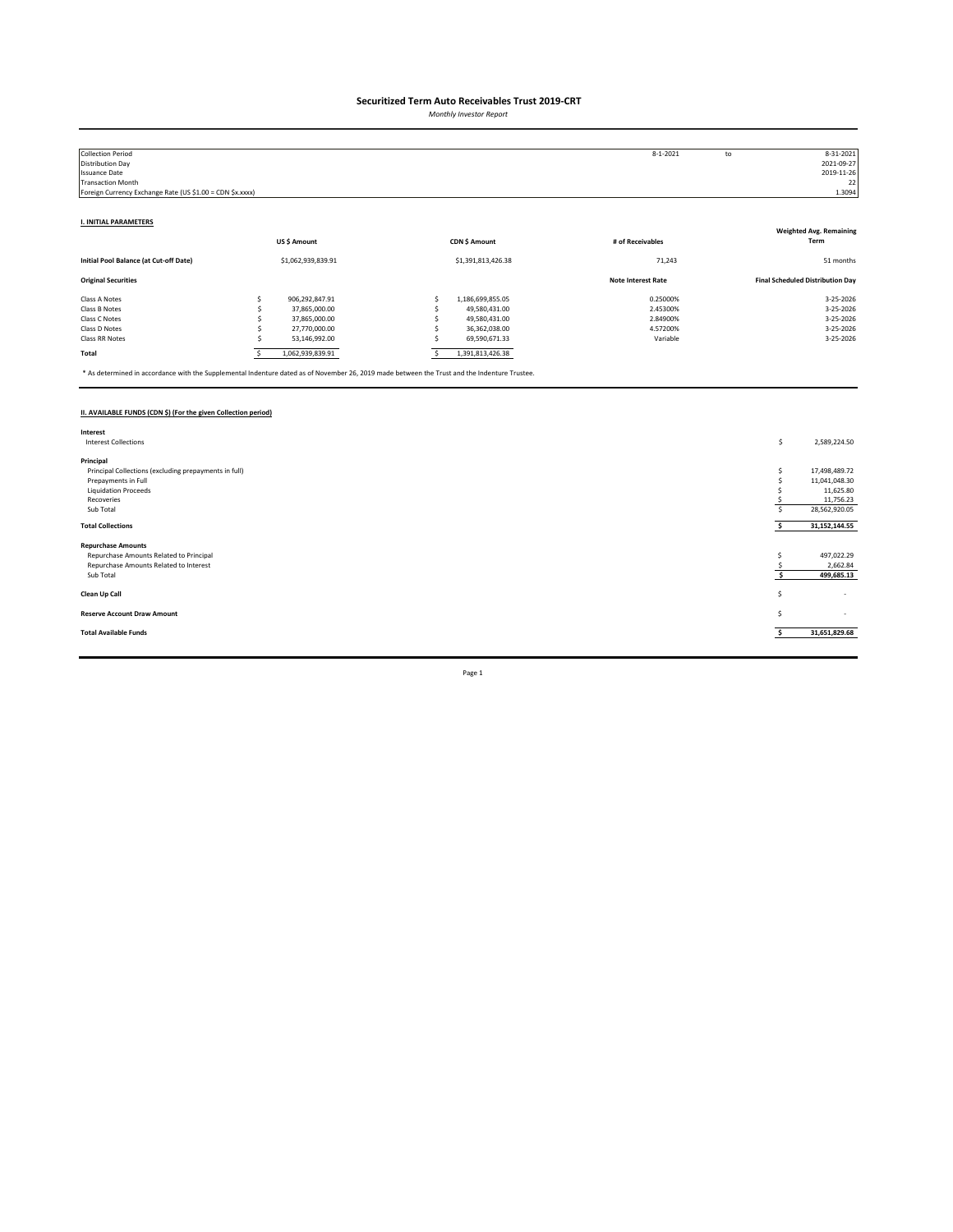*Monthly Investor Report*

| <b>Collection Period</b>                                  |   |                    |                    | $8 - 1 - 2021$            | to | 8-31-2021                               |
|-----------------------------------------------------------|---|--------------------|--------------------|---------------------------|----|-----------------------------------------|
| Distribution Day                                          |   |                    |                    |                           |    | 2021-09-27                              |
| <b>Issuance Date</b>                                      |   |                    |                    |                           |    | 2019-11-26                              |
| <b>Transaction Month</b>                                  |   |                    |                    |                           |    | 22                                      |
| Foreign Currency Exchange Rate (US \$1.00 = CDN \$x.xxxx) |   |                    |                    |                           |    | 1.3094                                  |
|                                                           |   |                    |                    |                           |    |                                         |
|                                                           |   |                    |                    |                           |    |                                         |
| <b>I. INITIAL PARAMETERS</b>                              |   |                    |                    |                           |    | <b>Weighted Avg. Remaining</b>          |
|                                                           |   | US\$ Amount        | CDN \$ Amount      | # of Receivables          |    | Term                                    |
|                                                           |   |                    |                    |                           |    |                                         |
| Initial Pool Balance (at Cut-off Date)                    |   | \$1,062,939,839.91 | \$1,391,813,426.38 | 71,243                    |    | 51 months                               |
|                                                           |   |                    |                    |                           |    |                                         |
| <b>Original Securities</b>                                |   |                    |                    | <b>Note Interest Rate</b> |    | <b>Final Scheduled Distribution Day</b> |
| Class A Notes                                             |   | 906,292,847.91     | 1,186,699,855.05   | 0.25000%                  |    | 3-25-2026                               |
| Class B Notes                                             |   | 37,865,000.00      | 49,580,431.00      | 2.45300%                  |    | 3-25-2026                               |
| Class C Notes                                             |   | 37,865,000.00      | 49,580,431.00      | 2.84900%                  |    | 3-25-2026                               |
| Class D Notes                                             |   | 27,770,000.00      | 36,362,038.00      | 4.57200%                  |    | 3-25-2026                               |
| Class RR Notes                                            |   | 53,146,992.00      | 69,590,671.33      | Variable                  |    | 3-25-2026                               |
| Total                                                     |   | 1,062,939,839.91   | 1,391,813,426.38   |                           |    |                                         |
|                                                           | s |                    |                    |                           |    |                                         |

\* As determined in accordance with the Supplemental Indenture dated as of November 26, 2019 made between the Trust and the Indenture Trustee.

### **II. AVAILABLE FUNDS (CDN \$) (For the given Collection period)**

| Interest                                              |                               |
|-------------------------------------------------------|-------------------------------|
| <b>Interest Collections</b>                           | \$<br>2,589,224.50            |
|                                                       |                               |
| Principal                                             |                               |
| Principal Collections (excluding prepayments in full) | 17,498,489.72                 |
| Prepayments in Full                                   | 11,041,048.30                 |
| <b>Liquidation Proceeds</b>                           | 11,625.80                     |
| Recoveries                                            | 11,756.23                     |
| Sub Total                                             | 28,562,920.05                 |
|                                                       |                               |
| <b>Total Collections</b>                              | 31, 152, 144.55               |
| <b>Repurchase Amounts</b>                             |                               |
| Repurchase Amounts Related to Principal               | 497,022.29                    |
| Repurchase Amounts Related to Interest                | 2,662.84                      |
| Sub Total                                             | 499,685.13                    |
|                                                       |                               |
| Clean Up Call                                         | s<br>$\overline{\phantom{a}}$ |
|                                                       |                               |
| <b>Reserve Account Draw Amount</b>                    | S<br>$\sim$                   |
|                                                       |                               |
| <b>Total Available Funds</b>                          | 31,651,829.68                 |
|                                                       |                               |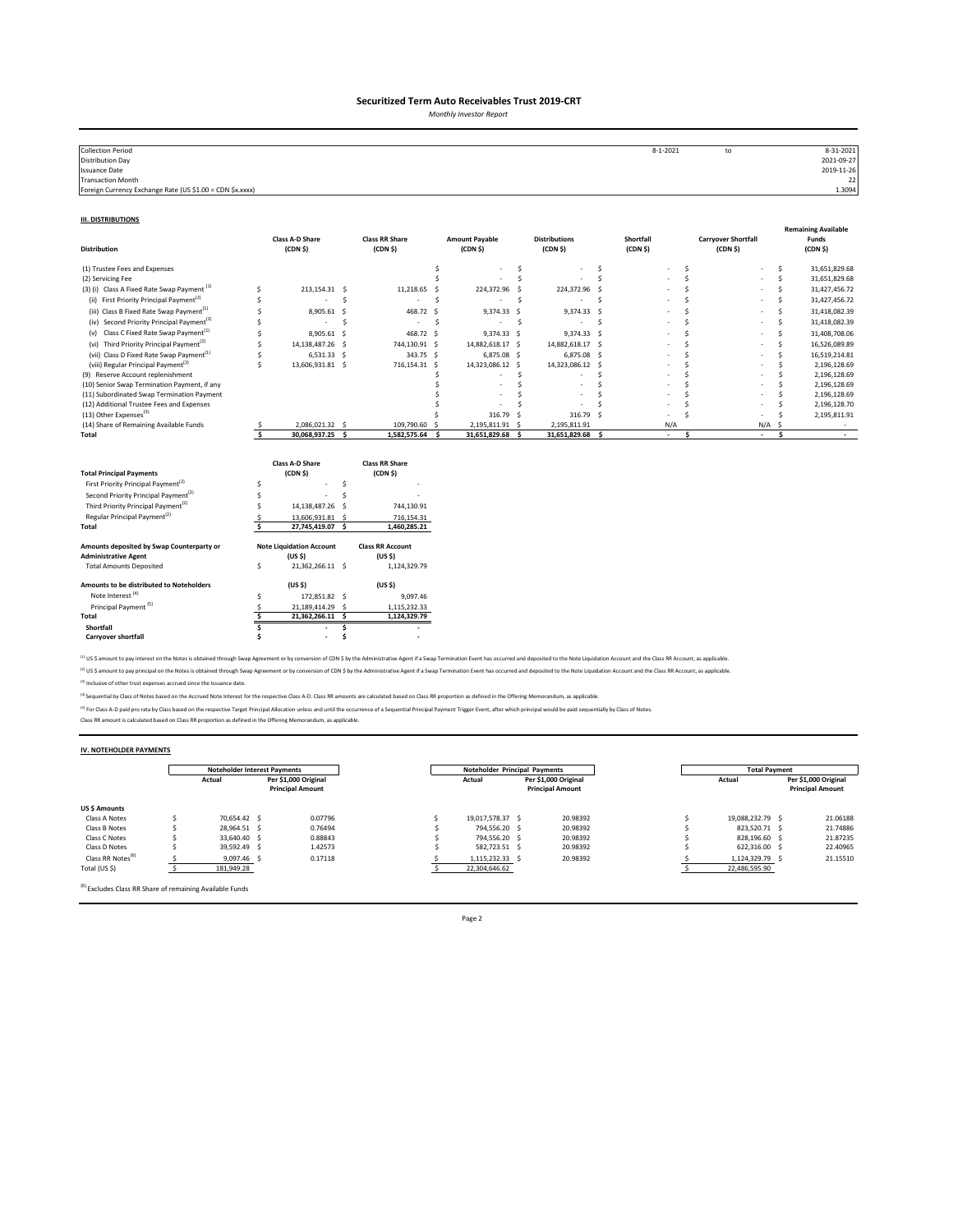*Monthly Investor Report*

| <b>Collection Period</b>                                  | 8-1-2021 | to | 8-31-2021  |
|-----------------------------------------------------------|----------|----|------------|
| <b>Distribution Day</b>                                   |          |    | 2021-09-27 |
| <b>Issuance Date</b>                                      |          |    | 2019-11-26 |
| <b>Transaction Month</b>                                  |          |    | 22         |
| Foreign Currency Exchange Rate (US \$1.00 = CDN \$x.xxxx) |          |    | 1.3094     |
|                                                           |          |    |            |

#### **III. DISTRIBUTIONS**

| <b>Distribution</b>                                                      |                         | <b>Class A-D Share</b><br>(CDN <sub>5</sub> )         |     | <b>Class RR Share</b><br>(CDN <sub>5</sub> )  |    | <b>Amount Payable</b><br>(CDN <sub>5</sub> ) |              | <b>Distributions</b><br>(CDN S)  |     | Shortfall<br>(CDN <sub>5</sub> ) |              | <b>Carryover Shortfall</b><br>(CDN <sub>5</sub> ) |               |              | <b>Remaining Available</b><br>Funds<br>(CDN <sub>5</sub> ) |
|--------------------------------------------------------------------------|-------------------------|-------------------------------------------------------|-----|-----------------------------------------------|----|----------------------------------------------|--------------|----------------------------------|-----|----------------------------------|--------------|---------------------------------------------------|---------------|--------------|------------------------------------------------------------|
| (1) Trustee Fees and Expenses                                            |                         |                                                       |     |                                               | Ś  |                                              | \$.          |                                  | \$. |                                  | Ś            |                                                   |               | \$.          | 31,651,829.68                                              |
| (2) Servicing Fee                                                        |                         |                                                       |     |                                               |    |                                              | Ś            |                                  | Ś   |                                  | <sup>s</sup> |                                                   |               | Ś            | 31,651,829.68                                              |
| (3) (i) Class A Fixed Rate Swap Payment <sup>(1)</sup>                   | Ś                       | 213.154.31 \$                                         |     | 11,218.65                                     | -Ś | 224,372.96 \$                                |              | 224,372.96 \$                    |     |                                  | <sup>s</sup> |                                                   |               | Ś            | 31,427,456.72                                              |
| First Priority Principal Payment <sup>(2)</sup><br>(ii)                  |                         |                                                       | Ś   | ٠                                             | Ś  |                                              | .s           |                                  | Ś   |                                  |              |                                                   |               | Ś            | 31,427,456.72                                              |
| (iii) Class B Fixed Rate Swap Payment <sup>(1)</sup>                     |                         | 8,905.61                                              | -S  | 468.72                                        | s. | 9,374.33 \$                                  |              | 9,374.33 \$                      |     |                                  |              |                                                   |               | Š.           | 31,418,082.39                                              |
| (iv) Second Priority Principal Payment <sup>(2)</sup>                    |                         | $\overline{\phantom{a}}$                              | Ś   | ٠                                             | Ŝ. |                                              | <sub>S</sub> | $\overline{\phantom{a}}$         | \$  |                                  |              |                                                   |               | Ś            | 31,418,082.39                                              |
| Class C Fixed Rate Swap Payment <sup>(1)</sup><br>(v)                    | S                       | 8,905.61                                              | - S | 468.72 \$                                     |    | 9,374.33 \$                                  |              | 9,374.33 \$                      |     |                                  |              |                                                   |               | Š.           | 31,408,708.06                                              |
| (vi) Third Priority Principal Payment <sup>(2)</sup>                     | Ś                       | 14,138,487.26                                         | - S | 744,130.91 \$                                 |    | 14,882,618.17 \$                             |              | 14,882,618.17 \$                 |     |                                  |              |                                                   |               | Š.           | 16,526,089.89                                              |
| (vii) Class D Fixed Rate Swap Payment <sup>(1)</sup>                     | Ś                       | $6,531.33$ \$                                         |     | 343.75 \$                                     |    | 6,875.08 \$                                  |              | 6,875.08 \$                      |     |                                  |              |                                                   |               | Ś            | 16,519,214.81                                              |
| (viii) Regular Principal Payment <sup>(2)</sup>                          | Ś                       | 13,606,931.81 \$                                      |     | 716,154.31 \$                                 |    | 14,323,086.12 \$                             |              | 14,323,086.12 \$                 |     |                                  |              |                                                   |               | <sup>s</sup> | 2,196,128.69                                               |
| (9) Reserve Account replenishment                                        |                         |                                                       |     |                                               |    |                                              | Ś            |                                  |     |                                  | ¢            |                                                   |               | .s           | 2,196,128.69                                               |
| (10) Senior Swap Termination Payment, if any                             |                         |                                                       |     |                                               |    |                                              | Ś            |                                  | .S  |                                  |              |                                                   |               |              | 2,196,128.69                                               |
| (11) Subordinated Swap Termination Payment                               |                         |                                                       |     |                                               |    |                                              |              |                                  |     |                                  |              |                                                   |               |              | 2,196,128.69                                               |
| (12) Additional Trustee Fees and Expenses                                |                         |                                                       |     |                                               |    |                                              |              |                                  |     |                                  |              |                                                   |               |              | 2,196,128.70                                               |
| (13) Other Expenses <sup>(3)</sup>                                       |                         |                                                       |     |                                               |    | 316.79                                       | - S          | 316.79 \$                        |     |                                  |              |                                                   |               |              | 2,195,811.91                                               |
| (14) Share of Remaining Available Funds<br>Total                         | $\overline{\mathbf{s}}$ | 2.086.021.32 \$<br>30,068,937.25                      | - S | 109,790.60 \$<br>1,582,575.64                 | s. | 2,195,811.91 \$<br>31,651,829.68             | - Ś          | 2,195,811.91<br>31,651,829.68 \$ |     | N/A<br>$\sim$                    | \$.          |                                                   | N/A<br>$\sim$ | .S<br>\$.    | $\sim$                                                     |
| <b>Total Principal Payments</b>                                          |                         | <b>Class A-D Share</b><br>(CDN <sub>5</sub> )         |     | <b>Class RR Share</b><br>(CDN <sub>5</sub> )  |    |                                              |              |                                  |     |                                  |              |                                                   |               |              |                                                            |
| First Priority Principal Payment <sup>(2)</sup>                          | Ś                       |                                                       | Š.  |                                               |    |                                              |              |                                  |     |                                  |              |                                                   |               |              |                                                            |
| Second Priority Principal Payment <sup>(2)</sup>                         |                         |                                                       | Ś   |                                               |    |                                              |              |                                  |     |                                  |              |                                                   |               |              |                                                            |
| Third Priority Principal Payment <sup>(2)</sup>                          |                         | 14,138,487.26                                         | -S  | 744,130.91                                    |    |                                              |              |                                  |     |                                  |              |                                                   |               |              |                                                            |
| Regular Principal Payment <sup>(2)</sup>                                 |                         | 13,606,931.81 \$                                      |     | 716,154.31                                    |    |                                              |              |                                  |     |                                  |              |                                                   |               |              |                                                            |
| Total                                                                    | Ś                       | 27,745,419.07 \$                                      |     | 1,460,285.21                                  |    |                                              |              |                                  |     |                                  |              |                                                   |               |              |                                                            |
| Amounts deposited by Swap Counterparty or<br><b>Administrative Agent</b> |                         | <b>Note Liquidation Account</b><br>(US <sub>5</sub> ) |     | <b>Class RR Account</b><br>(US <sub>5</sub> ) |    |                                              |              |                                  |     |                                  |              |                                                   |               |              |                                                            |
| <b>Total Amounts Deposited</b>                                           | \$                      | 21,362,266.11 \$                                      |     | 1,124,329.79                                  |    |                                              |              |                                  |     |                                  |              |                                                   |               |              |                                                            |
| Amounts to be distributed to Noteholders                                 |                         | (US <sub>5</sub> )                                    |     | (US S)                                        |    |                                              |              |                                  |     |                                  |              |                                                   |               |              |                                                            |
| Note Interest <sup>(4)</sup>                                             | Ś                       | 172,851.82 \$                                         |     | 9,097.46                                      |    |                                              |              |                                  |     |                                  |              |                                                   |               |              |                                                            |
| Principal Payment <sup>(5)</sup>                                         | S                       | 21,189,414.29 \$                                      |     | 1,115,232.33                                  |    |                                              |              |                                  |     |                                  |              |                                                   |               |              |                                                            |
| Total                                                                    | Š.                      | 21,362,266.11 \$                                      |     | 1,124,329.79                                  |    |                                              |              |                                  |     |                                  |              |                                                   |               |              |                                                            |
| Shortfall                                                                |                         |                                                       | Ś   |                                               |    |                                              |              |                                  |     |                                  |              |                                                   |               |              |                                                            |
| <b>Carryover shortfall</b>                                               |                         | $\overline{\phantom{a}}$                              |     |                                               |    |                                              |              |                                  |     |                                  |              |                                                   |               |              |                                                            |

<sup>(1)</sup> US \$ amount to pay interest on the Notes is obtained through Swap Agreement or by conversion of CDN \$ by the Administrative Agent if a Swap Termination Event has occurred and deposited to the Note Liquidation Account <sup>(2)</sup> US \$ amount to pay principal on the Notes is obtained through Swap Agreement or by conversion of CDN \$ by the Administrative Agent if a Swap Termination Event has occurred and deposited to the Note Liquidation Accoun

(3) Inclusive of other trust expenses accrued since the Issuance date.

<sup>(4)</sup> Sequential by Class of Notes based on the Accrued Note Interest for the respective Class A-D. Class RR amounts are calculated based on Class RR proportion as defined in the Offering Memorandum, as applicable.

<sup>P)</sup> For Class A-D paid pro rata by Class based on the respective Target Principal Allocation unless and until the occurrence of a Sequential Principal Payment Trigger Event, after which principal would be paid sequentiall

### **IV. NOTEHOLDER PAYMENTS**

|                               | Noteholder Interest Payments |                      |                         | Noteholder Principal Payments |                                |  |                         | <b>Total Payment</b> |  |                         |  |
|-------------------------------|------------------------------|----------------------|-------------------------|-------------------------------|--------------------------------|--|-------------------------|----------------------|--|-------------------------|--|
|                               | Actual                       | Per \$1.000 Original |                         |                               | Per \$1,000 Original<br>Actual |  |                         | Actual               |  | Per \$1,000 Original    |  |
|                               |                              |                      | <b>Principal Amount</b> |                               |                                |  | <b>Principal Amount</b> |                      |  | <b>Principal Amount</b> |  |
| <b>US \$ Amounts</b>          |                              |                      |                         |                               |                                |  |                         |                      |  |                         |  |
| Class A Notes                 | 70.654.42 S                  |                      | 0.07796                 |                               | 19.017.578.37 \$               |  | 20.98392                | 19.088.232.79 \$     |  | 21.06188                |  |
| Class B Notes                 | 28.964.51 S                  |                      | 0.76494                 |                               | 794.556.20 \$                  |  | 20.98392                | 823.520.71 \$        |  | 21.74886                |  |
| Class C Notes                 | 33.640.40 \$                 |                      | 0.88843                 |                               | 794.556.20 \$                  |  | 20.98392                | 828.196.60 \$        |  | 21.87235                |  |
| Class D Notes                 | 39.592.49 S                  |                      | 1.42573                 |                               | 582.723.51 \$                  |  | 20.98392                | 622.316.00 \$        |  | 22.40965                |  |
| Class RR Notes <sup>(6)</sup> | 9.097.46 \$                  |                      | 0.17118                 |                               | 1,115,232.33 \$                |  | 20.98392                | 1,124,329.79         |  | 21.15510                |  |
| Total (US \$)                 | 181,949.28                   |                      |                         |                               | 22,304,646.62                  |  |                         | 22,486,595.90        |  |                         |  |

 $\frac{6}{6}$  Excludes Class RR Share of remaining Available Funds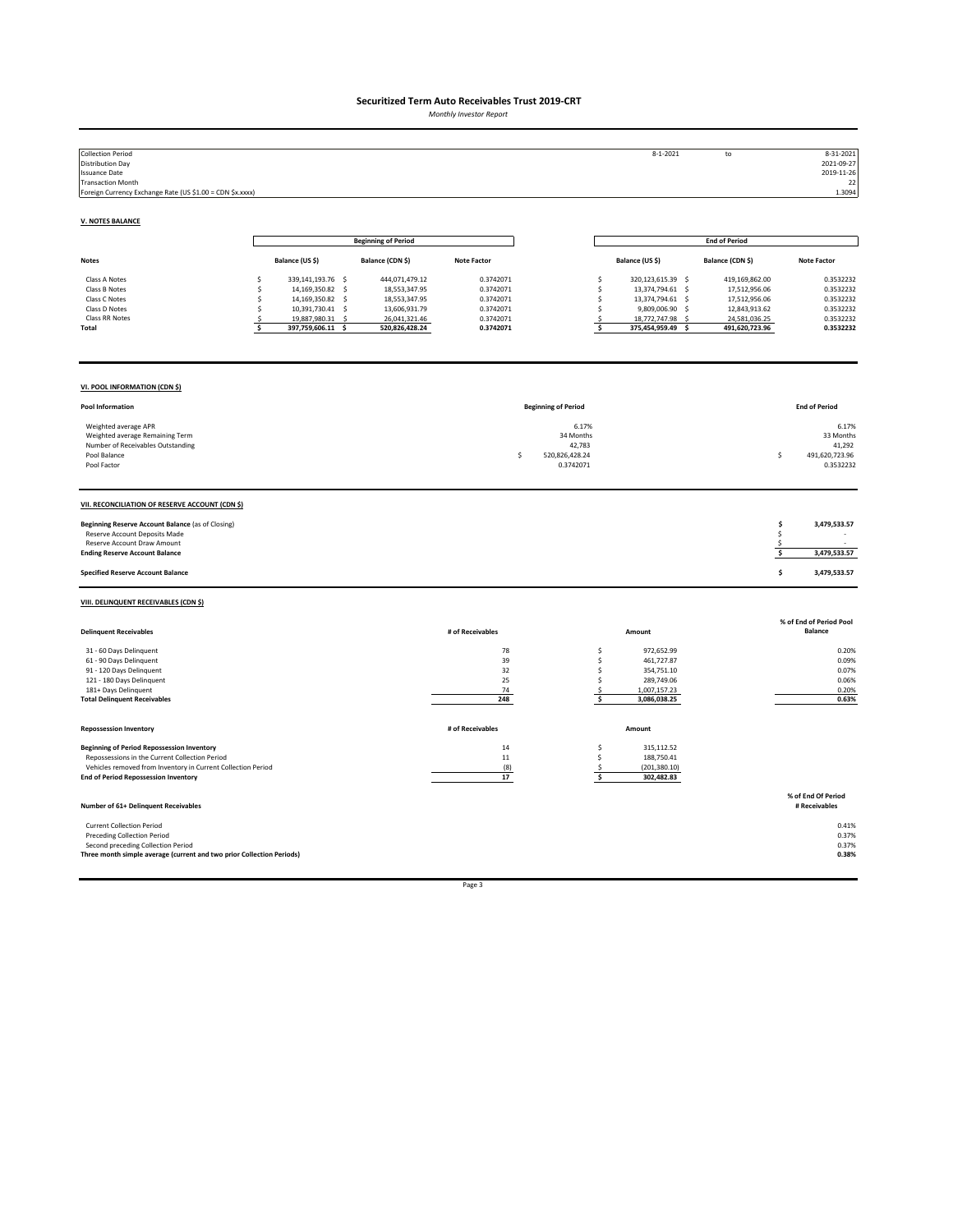*Monthly Investor Report*

| <b>Collection Period</b><br><b>Distribution Day</b><br><b>Issuance Date</b><br><b>Transaction Month</b><br>Foreign Currency Exchange Rate (US \$1.00 = CDN \$x.xxxx)                                               |                                                                                                                                                          |                                                                                                      |                                                                            |                                                                   | $8 - 1 - 2021$                                                                                                                                            | to                                                                                                   | 8-31-2021<br>2021-09-27<br>2019-11-26<br>22<br>1.3094                      |
|--------------------------------------------------------------------------------------------------------------------------------------------------------------------------------------------------------------------|----------------------------------------------------------------------------------------------------------------------------------------------------------|------------------------------------------------------------------------------------------------------|----------------------------------------------------------------------------|-------------------------------------------------------------------|-----------------------------------------------------------------------------------------------------------------------------------------------------------|------------------------------------------------------------------------------------------------------|----------------------------------------------------------------------------|
| <b>V. NOTES BALANCE</b>                                                                                                                                                                                            |                                                                                                                                                          |                                                                                                      |                                                                            |                                                                   |                                                                                                                                                           |                                                                                                      |                                                                            |
|                                                                                                                                                                                                                    |                                                                                                                                                          | <b>Beginning of Period</b>                                                                           |                                                                            |                                                                   |                                                                                                                                                           | <b>End of Period</b>                                                                                 |                                                                            |
| <b>Notes</b>                                                                                                                                                                                                       | Balance (US \$)                                                                                                                                          | Balance (CDN \$)                                                                                     | <b>Note Factor</b>                                                         |                                                                   | Balance (US \$)                                                                                                                                           | Balance (CDN \$)                                                                                     | <b>Note Factor</b>                                                         |
| Class A Notes<br>Class B Notes<br>Class C Notes<br>Class D Notes<br>Class RR Notes<br>Total                                                                                                                        | \$<br>339,141,193.76 \$<br>\$<br>14,169,350.82 \$<br>14,169,350.82 \$<br>Ś<br>\$<br>10,391,730.41 \$<br>19,887,980.31 \$<br>Ś<br>\$<br>397,759,606.11 \$ | 444,071,479.12<br>18,553,347.95<br>18,553,347.95<br>13,606,931.79<br>26,041,321.46<br>520,826,428.24 | 0.3742071<br>0.3742071<br>0.3742071<br>0.3742071<br>0.3742071<br>0.3742071 |                                                                   | \$<br>320,123,615.39 \$<br>\$<br>13,374,794.61 \$<br>\$<br>13,374,794.61 \$<br>\$<br>9,809,006.90 \$<br>18,772,747.98 \$<br>\$<br>\$<br>375,454,959.49 \$ | 419,169,862.00<br>17,512,956.06<br>17,512,956.06<br>12,843,913.62<br>24,581,036.25<br>491,620,723.96 | 0.3532232<br>0.3532232<br>0.3532232<br>0.3532232<br>0.3532232<br>0.3532232 |
| VI. POOL INFORMATION (CDN \$)                                                                                                                                                                                      |                                                                                                                                                          |                                                                                                      |                                                                            |                                                                   |                                                                                                                                                           |                                                                                                      |                                                                            |
| Pool Information                                                                                                                                                                                                   |                                                                                                                                                          |                                                                                                      |                                                                            | <b>Beginning of Period</b>                                        |                                                                                                                                                           |                                                                                                      | <b>End of Period</b>                                                       |
| Weighted average APR<br>Weighted average Remaining Term<br>Number of Receivables Outstanding<br>Pool Balance<br>Pool Factor                                                                                        |                                                                                                                                                          |                                                                                                      |                                                                            | 6.17%<br>34 Months<br>42,783<br>\$<br>520,826,428.24<br>0.3742071 |                                                                                                                                                           |                                                                                                      | 6.17%<br>33 Months<br>41,292<br>\$<br>491,620,723.96<br>0.3532232          |
| VII. RECONCILIATION OF RESERVE ACCOUNT (CDN \$)                                                                                                                                                                    |                                                                                                                                                          |                                                                                                      |                                                                            |                                                                   |                                                                                                                                                           |                                                                                                      |                                                                            |
| Beginning Reserve Account Balance (as of Closing)<br>Reserve Account Deposits Made<br>Reserve Account Draw Amount<br><b>Ending Reserve Account Balance</b>                                                         |                                                                                                                                                          |                                                                                                      |                                                                            |                                                                   |                                                                                                                                                           |                                                                                                      | \$<br>3,479,533.57<br>\$<br>\$<br>\$<br>3,479,533.57                       |
| <b>Specified Reserve Account Balance</b>                                                                                                                                                                           |                                                                                                                                                          |                                                                                                      |                                                                            |                                                                   |                                                                                                                                                           |                                                                                                      | \$<br>3,479,533.57                                                         |
| VIII. DELINQUENT RECEIVABLES (CDN \$)                                                                                                                                                                              |                                                                                                                                                          |                                                                                                      |                                                                            |                                                                   |                                                                                                                                                           |                                                                                                      |                                                                            |
| <b>Delinquent Receivables</b>                                                                                                                                                                                      |                                                                                                                                                          |                                                                                                      | # of Receivables                                                           |                                                                   | Amount                                                                                                                                                    |                                                                                                      | % of End of Period Pool<br>Balance                                         |
| 31 - 60 Days Delinquent<br>61 - 90 Days Delinquent<br>91 - 120 Days Delinquent<br>121 - 180 Days Delinquent<br>181+ Days Delinquent<br><b>Total Delinquent Receivables</b>                                         |                                                                                                                                                          |                                                                                                      | 78<br>39<br>32<br>25<br>74<br>248                                          |                                                                   | 972,652.99<br>\$<br>\$<br>461,727.87<br>\$<br>354,751.10<br>\$<br>289,749.06<br>1,007,157.23<br>$\mathsf{S}$<br>\$<br>3,086,038.25                        |                                                                                                      | 0.20%<br>0.09%<br>0.07%<br>0.06%<br>0.20%<br>0.63%                         |
| <b>Repossession Inventory</b>                                                                                                                                                                                      |                                                                                                                                                          |                                                                                                      | # of Receivables                                                           |                                                                   | Amount                                                                                                                                                    |                                                                                                      |                                                                            |
| <b>Beginning of Period Repossession Inventory</b><br>Repossessions in the Current Collection Period<br>Vehicles removed from Inventory in Current Collection Period<br><b>End of Period Repossession Inventory</b> |                                                                                                                                                          |                                                                                                      | 14<br>$11\,$<br>(8)<br>17                                                  |                                                                   | 315,112.52<br>\$<br>\$<br>188,750.41<br>(201, 380.10)<br>\$<br>\$<br>302,482.83                                                                           |                                                                                                      |                                                                            |
| Number of 61+ Delinquent Receivables                                                                                                                                                                               |                                                                                                                                                          |                                                                                                      |                                                                            |                                                                   |                                                                                                                                                           |                                                                                                      | % of End Of Period<br># Receivables                                        |
| <b>Current Collection Period</b><br><b>Preceding Collection Period</b><br>Second preceding Collection Period<br>Three month simple average (current and two prior Collection Periods)                              |                                                                                                                                                          |                                                                                                      |                                                                            |                                                                   |                                                                                                                                                           |                                                                                                      | 0.41%<br>0.37%<br>0.37%<br>0.38%                                           |